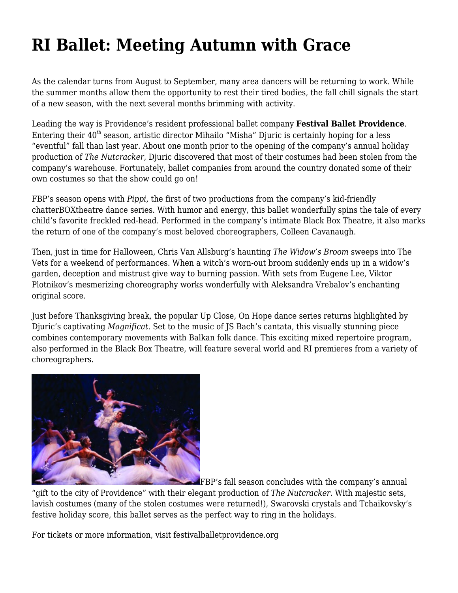## **[RI Ballet: Meeting Autumn with Grace](https://motifri.com/dancefall2017/)**

As the calendar turns from August to September, many area dancers will be returning to work. While the summer months allow them the opportunity to rest their tired bodies, the fall chill signals the start of a new season, with the next several months brimming with activity.

Leading the way is Providence's resident professional ballet company **Festival Ballet Providence**. Entering their  $40<sup>th</sup>$  season, artistic director Mihailo "Misha" Djuric is certainly hoping for a less "eventful" fall than last year. About one month prior to the opening of the company's annual holiday production of *The Nutcracker*, Djuric discovered that most of their costumes had been stolen from the company's warehouse. Fortunately, ballet companies from around the country donated some of their own costumes so that the show could go on!

FBP's season opens with *Pippi*, the first of two productions from the company's kid-friendly chatterBOXtheatre dance series. With humor and energy, this ballet wonderfully spins the tale of every child's favorite freckled red-head. Performed in the company's intimate Black Box Theatre, it also marks the return of one of the company's most beloved choreographers, Colleen Cavanaugh.

Then, just in time for Halloween, Chris Van Allsburg's haunting *The Widow's Broom* sweeps into The Vets for a weekend of performances. When a witch's worn-out broom suddenly ends up in a widow's garden, deception and mistrust give way to burning passion. With sets from Eugene Lee, Viktor Plotnikov's mesmerizing choreography works wonderfully with Aleksandra Vrebalov's enchanting original score.

Just before Thanksgiving break, the popular Up Close, On Hope dance series returns highlighted by Djuric's captivating *Magnificat*. Set to the music of JS Bach's cantata, this visually stunning piece combines contemporary movements with Balkan folk dance. This exciting mixed repertoire program, also performed in the Black Box Theatre, will feature several world and RI premieres from a variety of choreographers.



**FBP's fall season concludes with the company's annual** 

"gift to the city of Providence" with their elegant production of *The Nutcracker*. With majestic sets, lavish costumes (many of the stolen costumes were returned!), Swarovski crystals and Tchaikovsky's festive holiday score, this ballet serves as the perfect way to ring in the holidays.

For tickets or more information, visit [festivalballetprovidence.org](http://www.festivalballetprovidence.org)